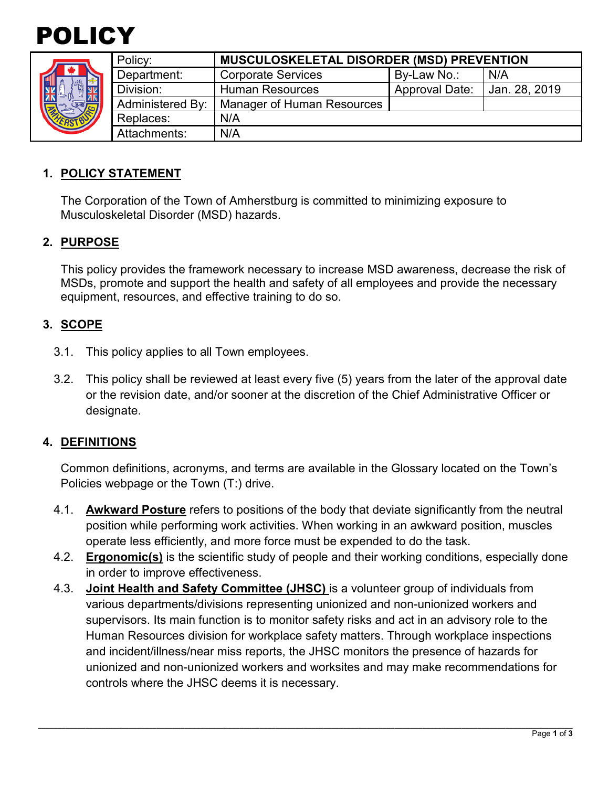

| "要"<br><b>ISTBUT</b> | Policy:                 | <b>MUSCULOSKELETAL DISORDER (MSD) PREVENTION</b> |                       |               |
|----------------------|-------------------------|--------------------------------------------------|-----------------------|---------------|
|                      | Department:             | <b>Corporate Services</b>                        | By-Law No.:           | N/A           |
|                      | Division:               | <b>Human Resources</b>                           | <b>Approval Date:</b> | Jan. 28, 2019 |
|                      | <b>Administered By:</b> | Manager of Human Resources                       |                       |               |
|                      | Replaces:               | N/A                                              |                       |               |
|                      | Attachments:            | N/A                                              |                       |               |
|                      |                         |                                                  |                       |               |

#### **1. POLICY STATEMENT**

The Corporation of the Town of Amherstburg is committed to minimizing exposure to Musculoskeletal Disorder (MSD) hazards.

#### **2. PURPOSE**

This policy provides the framework necessary to increase MSD awareness, decrease the risk of MSDs, promote and support the health and safety of all employees and provide the necessary equipment, resources, and effective training to do so.

#### **3. SCOPE**

- 3.1. This policy applies to all Town employees.
- 3.2. This policy shall be reviewed at least every five (5) years from the later of the approval date or the revision date, and/or sooner at the discretion of the Chief Administrative Officer or designate.

#### **4. DEFINITIONS**

Common definitions, acronyms, and terms are available in the Glossary located on the Town's Policies webpage or the Town (T:) drive.

- 4.1. **Awkward Posture** refers to positions of the body that deviate significantly from the neutral position while performing work activities. When working in an awkward position, muscles operate less efficiently, and more force must be expended to do the task.
- 4.2. **Ergonomic(s)** is the scientific study of people and their working conditions, especially done in order to improve effectiveness.
- 4.3. **Joint Health and Safety Committee (JHSC)** is a volunteer group of individuals from various departments/divisions representing unionized and non-unionized workers and supervisors. Its main function is to monitor safety risks and act in an advisory role to the Human Resources division for workplace safety matters. Through workplace inspections and incident/illness/near miss reports, the JHSC monitors the presence of hazards for unionized and non-unionized workers and worksites and may make recommendations for controls where the JHSC deems it is necessary.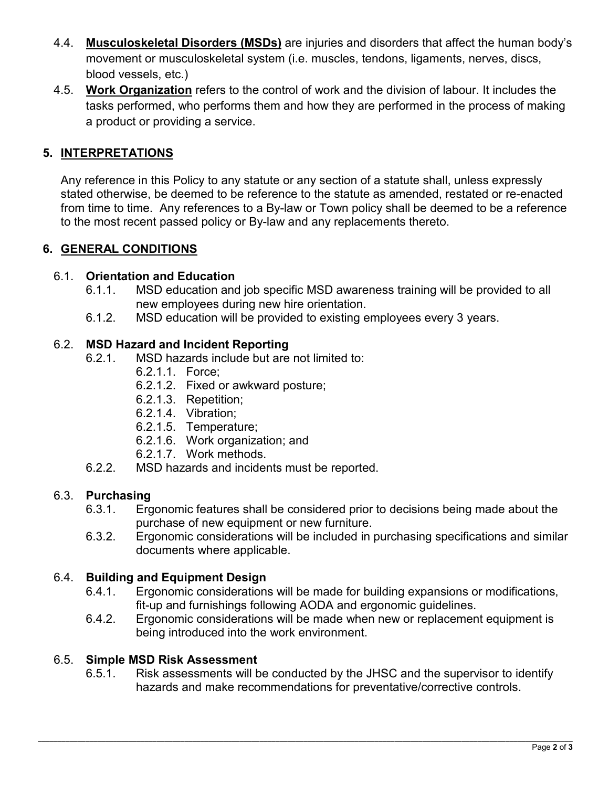- 4.4. **Musculoskeletal Disorders (MSDs)** are injuries and disorders that affect the human body's movement or musculoskeletal system (i.e. muscles, tendons, ligaments, nerves, discs, blood vessels, etc.)
- 4.5. **Work Organization** refers to the control of work and the division of labour. It includes the tasks performed, who performs them and how they are performed in the process of making a product or providing a service.

### **5. INTERPRETATIONS**

Any reference in this Policy to any statute or any section of a statute shall, unless expressly stated otherwise, be deemed to be reference to the statute as amended, restated or re-enacted from time to time. Any references to a By-law or Town policy shall be deemed to be a reference to the most recent passed policy or By-law and any replacements thereto.

### **6. GENERAL CONDITIONS**

#### 6.1. **Orientation and Education**

- 6.1.1. MSD education and job specific MSD awareness training will be provided to all new employees during new hire orientation.
- 6.1.2. MSD education will be provided to existing employees every 3 years.

#### 6.2. **MSD Hazard and Incident Reporting**

- 6.2.1. MSD hazards include but are not limited to:
	- 6.2.1.1. Force;
	- 6.2.1.2. Fixed or awkward posture;
	- 6.2.1.3. Repetition;
	- 6.2.1.4. Vibration;
	- 6.2.1.5. Temperature;
	- 6.2.1.6. Work organization; and
	- 6.2.1.7. Work methods.
- 6.2.2. MSD hazards and incidents must be reported.

# 6.3. **Purchasing**

- Ergonomic features shall be considered prior to decisions being made about the purchase of new equipment or new furniture.
- 6.3.2. Ergonomic considerations will be included in purchasing specifications and similar documents where applicable.

# 6.4. **Building and Equipment Design**

- Ergonomic considerations will be made for building expansions or modifications, fit-up and furnishings following AODA and ergonomic guidelines.
- 6.4.2. Ergonomic considerations will be made when new or replacement equipment is being introduced into the work environment.

# 6.5. **Simple MSD Risk Assessment**

Risk assessments will be conducted by the JHSC and the supervisor to identify hazards and make recommendations for preventative/corrective controls.